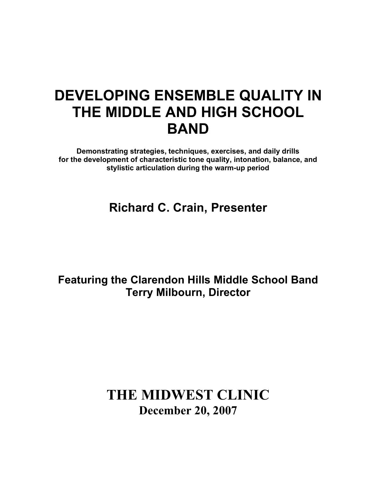# **DEVELOPING ENSEMBLE QUALITY IN THE MIDDLE AND HIGH SCHOOL BAND**

**Demonstrating strategies, techniques, exercises, and daily drills for the development of characteristic tone quality, intonation, balance, and stylistic articulation during the warm-up period**

**Richard C. Crain, Presenter**

**Featuring the Clarendon Hills Middle School Band Terry Milbourn, Director**

## **THE MIDWEST CLINIC December 20, 2007**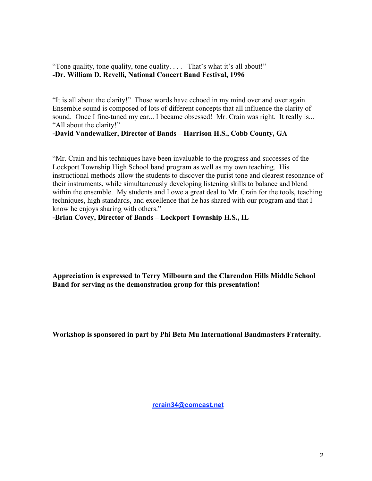"Tone quality, tone quality, tone quality. . . . That's what it's all about!" **-Dr. William D. Revelli, National Concert Band Festival, 1996**

"It is all about the clarity!" Those words have echoed in my mind over and over again. Ensemble sound is composed of lots of different concepts that all influence the clarity of sound. Once I fine-tuned my ear... I became obsessed! Mr. Crain was right. It really is... "All about the clarity!"

#### **-David Vandewalker, Director of Bands – Harrison H.S., Cobb County, GA**

"Mr. Crain and his techniques have been invaluable to the progress and successes of the Lockport Township High School band program as well as my own teaching. His instructional methods allow the students to discover the purist tone and clearest resonance of their instruments, while simultaneously developing listening skills to balance and blend within the ensemble. My students and I owe a great deal to Mr. Crain for the tools, teaching techniques, high standards, and excellence that he has shared with our program and that I know he enjoys sharing with others."

**-Brian Covey, Director of Bands – Lockport Township H.S., IL**

**Appreciation is expressed to Terry Milbourn and the Clarendon Hills Middle School Band for serving as the demonstration group for this presentation!**

**Workshop is sponsored in part by Phi Beta Mu International Bandmasters Fraternity.**

**rcrain34@comcast.net**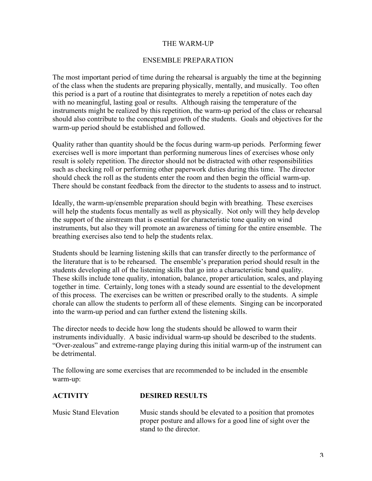## THE WARM-UP

## ENSEMBLE PREPARATION

The most important period of time during the rehearsal is arguably the time at the beginning of the class when the students are preparing physically, mentally, and musically. Too often this period is a part of a routine that disintegrates to merely a repetition of notes each day with no meaningful, lasting goal or results. Although raising the temperature of the instruments might be realized by this repetition, the warm-up period of the class or rehearsal should also contribute to the conceptual growth of the students. Goals and objectives for the warm-up period should be established and followed.

Quality rather than quantity should be the focus during warm-up periods. Performing fewer exercises well is more important than performing numerous lines of exercises whose only result is solely repetition. The director should not be distracted with other responsibilities such as checking roll or performing other paperwork duties during this time. The director should check the roll as the students enter the room and then begin the official warm-up. There should be constant feedback from the director to the students to assess and to instruct.

Ideally, the warm-up/ensemble preparation should begin with breathing. These exercises will help the students focus mentally as well as physically. Not only will they help develop the support of the airstream that is essential for characteristic tone quality on wind instruments, but also they will promote an awareness of timing for the entire ensemble. The breathing exercises also tend to help the students relax.

Students should be learning listening skills that can transfer directly to the performance of the literature that is to be rehearsed. The ensemble's preparation period should result in the students developing all of the listening skills that go into a characteristic band quality. These skills include tone quality, intonation, balance, proper articulation, scales, and playing together in time. Certainly, long tones with a steady sound are essential to the development of this process. The exercises can be written or prescribed orally to the students. A simple chorale can allow the students to perform all of these elements. Singing can be incorporated into the warm-up period and can further extend the listening skills.

The director needs to decide how long the students should be allowed to warm their instruments individually. A basic individual warm-up should be described to the students. "Over-zealous" and extreme-range playing during this initial warm-up of the instrument can be detrimental.

The following are some exercises that are recommended to be included in the ensemble warm-up:

**ACTIVITY DESIRED RESULTS**

| AUIIVII I             | DESIKED KESULTS                                                                                                                                      |
|-----------------------|------------------------------------------------------------------------------------------------------------------------------------------------------|
| Music Stand Elevation | Music stands should be elevated to a position that promotes<br>proper posture and allows for a good line of sight over the<br>stand to the director. |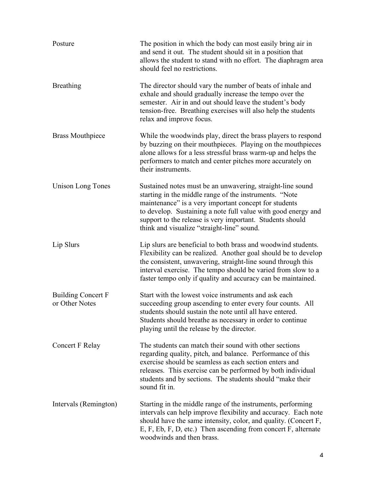| Posture                                     | The position in which the body can most easily bring air in<br>and send it out. The student should sit in a position that<br>allows the student to stand with no effort. The diaphragm area<br>should feel no restrictions.                                                                                                                               |
|---------------------------------------------|-----------------------------------------------------------------------------------------------------------------------------------------------------------------------------------------------------------------------------------------------------------------------------------------------------------------------------------------------------------|
| <b>Breathing</b>                            | The director should vary the number of beats of inhale and<br>exhale and should gradually increase the tempo over the<br>semester. Air in and out should leave the student's body<br>tension-free. Breathing exercises will also help the students<br>relax and improve focus.                                                                            |
| <b>Brass Mouthpiece</b>                     | While the woodwinds play, direct the brass players to respond<br>by buzzing on their mouthpieces. Playing on the mouthpieces<br>alone allows for a less stressful brass warm-up and helps the<br>performers to match and center pitches more accurately on<br>their instruments.                                                                          |
| <b>Unison Long Tones</b>                    | Sustained notes must be an unwavering, straight-line sound<br>starting in the middle range of the instruments. "Note<br>maintenance" is a very important concept for students<br>to develop. Sustaining a note full value with good energy and<br>support to the release is very important. Students should<br>think and visualize "straight-line" sound. |
| Lip Slurs                                   | Lip slurs are beneficial to both brass and woodwind students.<br>Flexibility can be realized. Another goal should be to develop<br>the consistent, unwavering, straight-line sound through this<br>interval exercise. The tempo should be varied from slow to a<br>faster tempo only if quality and accuracy can be maintained.                           |
| <b>Building Concert F</b><br>or Other Notes | Start with the lowest voice instruments and ask each<br>succeeding group ascending to enter every four counts. All<br>students should sustain the note until all have entered.<br>Students should breathe as necessary in order to continue<br>playing until the release by the director.                                                                 |
| Concert F Relay                             | The students can match their sound with other sections<br>regarding quality, pitch, and balance. Performance of this<br>exercise should be seamless as each section enters and<br>releases. This exercise can be performed by both individual<br>students and by sections. The students should "make their<br>sound fit in.                               |
| Intervals (Remington)                       | Starting in the middle range of the instruments, performing<br>intervals can help improve flexibility and accuracy. Each note<br>should have the same intensity, color, and quality. (Concert F,<br>E, F, Eb, F, D, etc.) Then ascending from concert $F$ , alternate<br>woodwinds and then brass.                                                        |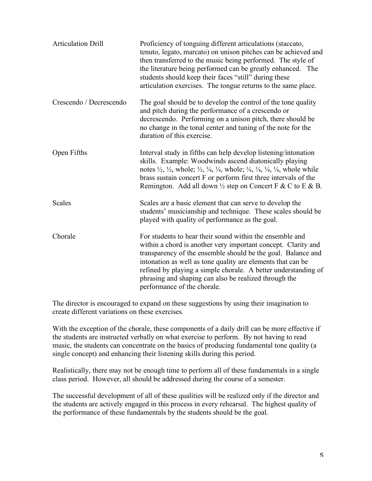| <b>Articulation Drill</b> | Proficiency of tonguing different articulations (staccato,<br>tenuto, legato, marcato) on unison pitches can be achieved and<br>then transferred to the music being performed. The style of<br>the literature being performed can be greatly enhanced. The<br>students should keep their faces "still" during these<br>articulation exercises. The tongue returns to the same place.                                                                    |
|---------------------------|---------------------------------------------------------------------------------------------------------------------------------------------------------------------------------------------------------------------------------------------------------------------------------------------------------------------------------------------------------------------------------------------------------------------------------------------------------|
| Crescendo / Decrescendo   | The goal should be to develop the control of the tone quality<br>and pitch during the performance of a crescendo or<br>decrescendo. Performing on a unison pitch, there should be<br>no change in the tonal center and tuning of the note for the<br>duration of this exercise.                                                                                                                                                                         |
| Open Fifths               | Interval study in fifths can help develop listening/intonation<br>skills. Example: Woodwinds ascend diatonically playing<br>notes $\frac{1}{2}$ , $\frac{1}{2}$ , whole; $\frac{1}{2}$ , $\frac{1}{4}$ , $\frac{1}{4}$ , whole; $\frac{1}{4}$ , $\frac{1}{4}$ , $\frac{1}{4}$ , $\frac{1}{4}$ , whole while<br>brass sustain concert F or perform first three intervals of the<br>Remington. Add all down $\frac{1}{2}$ step on Concert F & C to E & B. |
| <b>Scales</b>             | Scales are a basic element that can serve to develop the<br>students' musicianship and technique. These scales should be<br>played with quality of performance as the goal.                                                                                                                                                                                                                                                                             |
| Chorale                   | For students to hear their sound within the ensemble and<br>within a chord is another very important concept. Clarity and<br>transparency of the ensemble should be the goal. Balance and<br>intonation as well as tone quality are elements that can be<br>refined by playing a simple chorale. A better understanding of<br>phrasing and shaping can also be realized through the<br>performance of the chorale.                                      |

The director is encouraged to expand on these suggestions by using their imagination to create different variations on these exercises.

With the exception of the chorale, these components of a daily drill can be more effective if the students are instructed verbally on what exercise to perform. By not having to read music, the students can concentrate on the basics of producing fundamental tone quality (a single concept) and enhancing their listening skills during this period.

Realistically, there may not be enough time to perform all of these fundamentals in a single class period. However, all should be addressed during the course of a semester.

The successful development of all of these qualities will be realized only if the director and the students are actively engaged in this process in every rehearsal. The highest quality of the performance of these fundamentals by the students should be the goal.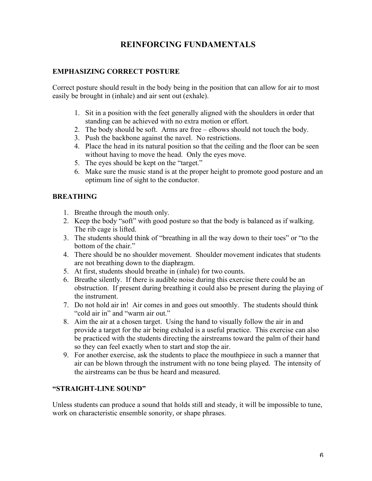## **REINFORCING FUNDAMENTALS**

## **EMPHASIZING CORRECT POSTURE**

Correct posture should result in the body being in the position that can allow for air to most easily be brought in (inhale) and air sent out (exhale).

- 1. Sit in a position with the feet generally aligned with the shoulders in order that standing can be achieved with no extra motion or effort.
- 2. The body should be soft. Arms are free elbows should not touch the body.
- 3. Push the backbone against the navel. No restrictions.
- 4. Place the head in its natural position so that the ceiling and the floor can be seen without having to move the head. Only the eyes move.
- 5. The eyes should be kept on the "target."
- 6. Make sure the music stand is at the proper height to promote good posture and an optimum line of sight to the conductor.

## **BREATHING**

- 1. Breathe through the mouth only.
- 2. Keep the body "soft" with good posture so that the body is balanced as if walking. The rib cage is lifted.
- 3. The students should think of "breathing in all the way down to their toes" or "to the bottom of the chair."
- 4. There should be no shoulder movement. Shoulder movement indicates that students are not breathing down to the diaphragm.
- 5. At first, students should breathe in (inhale) for two counts.
- 6. Breathe silently. If there is audible noise during this exercise there could be an obstruction. If present during breathing it could also be present during the playing of the instrument.
- 7. Do not hold air in! Air comes in and goes out smoothly. The students should think "cold air in" and "warm air out."
- 8. Aim the air at a chosen target. Using the hand to visually follow the air in and provide a target for the air being exhaled is a useful practice. This exercise can also be practiced with the students directing the airstreams toward the palm of their hand so they can feel exactly when to start and stop the air.
- 9. For another exercise, ask the students to place the mouthpiece in such a manner that air can be blown through the instrument with no tone being played. The intensity of the airstreams can be thus be heard and measured.

## **"STRAIGHT-LINE SOUND"**

Unless students can produce a sound that holds still and steady, it will be impossible to tune, work on characteristic ensemble sonority, or shape phrases.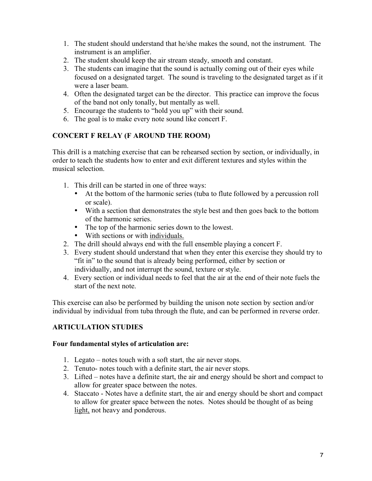- 1. The student should understand that he/she makes the sound, not the instrument. The instrument is an amplifier.
- 2. The student should keep the air stream steady, smooth and constant.
- 3. The students can imagine that the sound is actually coming out of their eyes while focused on a designated target. The sound is traveling to the designated target as if it were a laser beam.
- 4. Often the designated target can be the director. This practice can improve the focus of the band not only tonally, but mentally as well.
- 5. Encourage the students to "hold you up" with their sound.
- 6. The goal is to make every note sound like concert F.

## **CONCERT F RELAY (F AROUND THE ROOM)**

This drill is a matching exercise that can be rehearsed section by section, or individually, in order to teach the students how to enter and exit different textures and styles within the musical selection.

- 1. This drill can be started in one of three ways:
	- At the bottom of the harmonic series (tuba to flute followed by a percussion roll or scale).
	- With a section that demonstrates the style best and then goes back to the bottom of the harmonic series.
	- The top of the harmonic series down to the lowest.
	- With sections or with individuals.
- 2. The drill should always end with the full ensemble playing a concert F.
- 3. Every student should understand that when they enter this exercise they should try to "fit in" to the sound that is already being performed, either by section or individually, and not interrupt the sound, texture or style.
- 4. Every section or individual needs to feel that the air at the end of their note fuels the start of the next note.

This exercise can also be performed by building the unison note section by section and/or individual by individual from tuba through the flute, and can be performed in reverse order.

## **ARTICULATION STUDIES**

## **Four fundamental styles of articulation are:**

- 1. Legato notes touch with a soft start, the air never stops.
- 2. Tenuto- notes touch with a definite start, the air never stops.
- 3. Lifted notes have a definite start, the air and energy should be short and compact to allow for greater space between the notes.
- 4. Staccato Notes have a definite start, the air and energy should be short and compact to allow for greater space between the notes. Notes should be thought of as being light, not heavy and ponderous.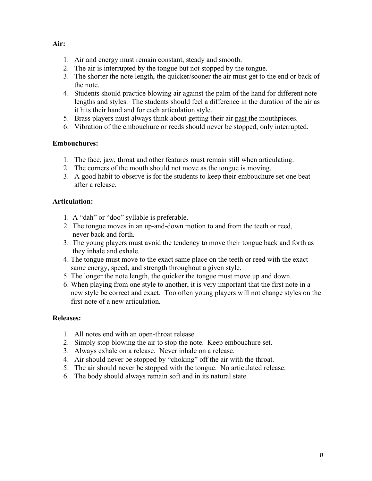## **Air:**

- 1. Air and energy must remain constant, steady and smooth.
- 2. The air is interrupted by the tongue but not stopped by the tongue.
- 3. The shorter the note length, the quicker/sooner the air must get to the end or back of the note.
- 4. Students should practice blowing air against the palm of the hand for different note lengths and styles. The students should feel a difference in the duration of the air as it hits their hand and for each articulation style.
- 5. Brass players must always think about getting their air past the mouthpieces.
- 6. Vibration of the embouchure or reeds should never be stopped, only interrupted.

## **Embouchures:**

- 1. The face, jaw, throat and other features must remain still when articulating.
- 2. The corners of the mouth should not move as the tongue is moving.
- 3. A good habit to observe is for the students to keep their embouchure set one beat after a release.

## **Articulation:**

- 1. A "dah" or "doo" syllable is preferable.
- 2. The tongue moves in an up-and-down motion to and from the teeth or reed, never back and forth.
- 3. The young players must avoid the tendency to move their tongue back and forth as they inhale and exhale.
- 4. The tongue must move to the exact same place on the teeth or reed with the exact same energy, speed, and strength throughout a given style.
- 5. The longer the note length, the quicker the tongue must move up and down.
- 6. When playing from one style to another, it is very important that the first note in a new style be correct and exact. Too often young players will not change styles on the first note of a new articulation.

#### **Releases:**

- 1. All notes end with an open-throat release.
- 2. Simply stop blowing the air to stop the note. Keep embouchure set.
- 3. Always exhale on a release. Never inhale on a release.
- 4. Air should never be stopped by "choking" off the air with the throat.
- 5. The air should never be stopped with the tongue. No articulated release.
- 6. The body should always remain soft and in its natural state.